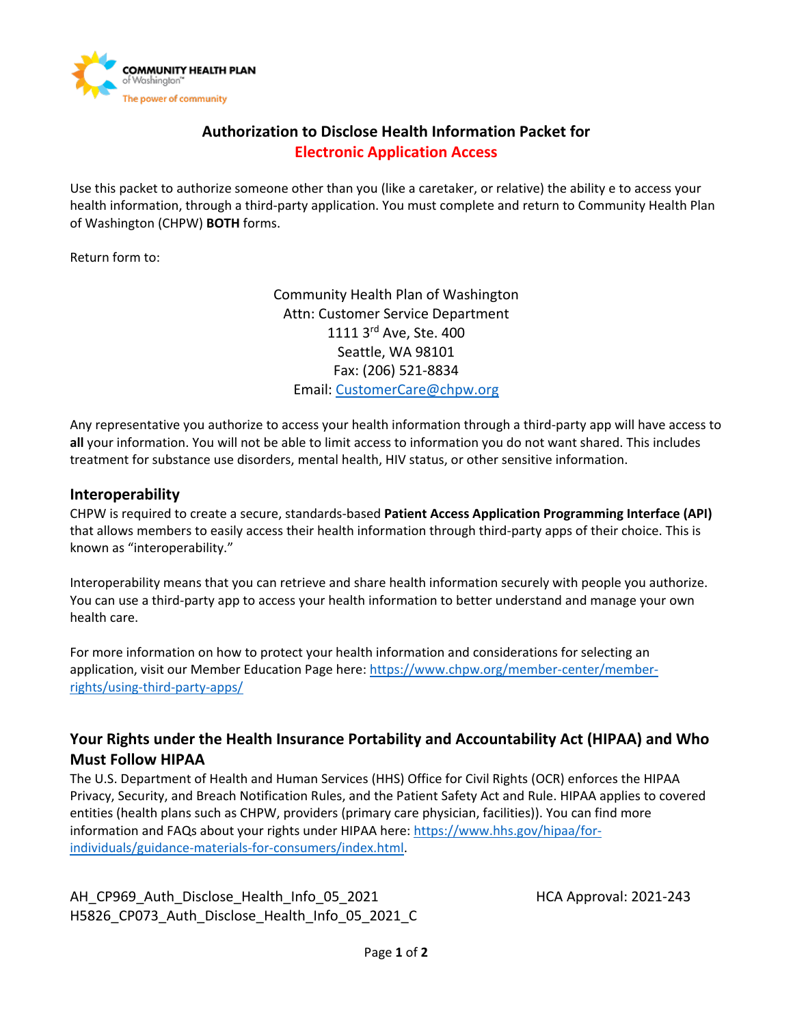

# **Authorization to Disclose Health Information Packet for Electronic Application Access**

Use this packet to authorize someone other than you (like a caretaker, or relative) the ability e to access your health information, through a third-party application. You must complete and return to Community Health Plan of Washington (CHPW) **BOTH** forms.

Return form to:

Community Health Plan of Washington Attn: Customer Service Department 1111 3<sup>rd</sup> Ave, Ste. 400 Seattle, WA 98101 Fax: (206) 521-8834 Email: [CustomerCare@chpw.org](mailto:CustomerCare@chpw.org)

Any representative you authorize to access your health information through a third-party app will have access to **all** your information. You will not be able to limit access to information you do not want shared. This includes treatment for substance use disorders, mental health, HIV status, or other sensitive information.

## **Interoperability**

CHPW is required to create a secure, standards-based **Patient Access Application Programming Interface (API)** that allows members to easily access their health information through third-party apps of their choice. This is known as "interoperability."

Interoperability means that you can retrieve and share health information securely with people you authorize. You can use a third-party app to access your health information to better understand and manage your own health care.

For more information on how to protect your health information and considerations for selecting an application, visit our Member Education Page here[: https://www.chpw.org/member-center/member](https://www.chpw.org/member-center/member-rights/using-third-party-apps/)[rights/using-third-party-apps/](https://www.chpw.org/member-center/member-rights/using-third-party-apps/) 

# **Your Rights under the Health Insurance Portability and Accountability Act (HIPAA) and Who Must Follow HIPAA**

The U.S. Department of Health and Human Services (HHS) Office for Civil Rights (OCR) enforces the HIPAA Privacy, Security, and Breach Notification Rules, and the Patient Safety Act and Rule. HIPAA applies to covered entities (health plans such as CHPW, providers (primary care physician, facilities)). You can find more information and FAQs about your rights under HIPAA here[: https://www.hhs.gov/hipaa/for](https://www.hhs.gov/hipaa/for-individuals/guidance-materials-for-consumers/index.html)[individuals/guidance-materials-for-consumers/index.html.](https://www.hhs.gov/hipaa/for-individuals/guidance-materials-for-consumers/index.html)

AH\_CP969\_Auth\_Disclose\_Health\_Info\_05\_2021 https://educationality.com/2021-243 H5826 CP073 Auth Disclose Health Info 05 2021 C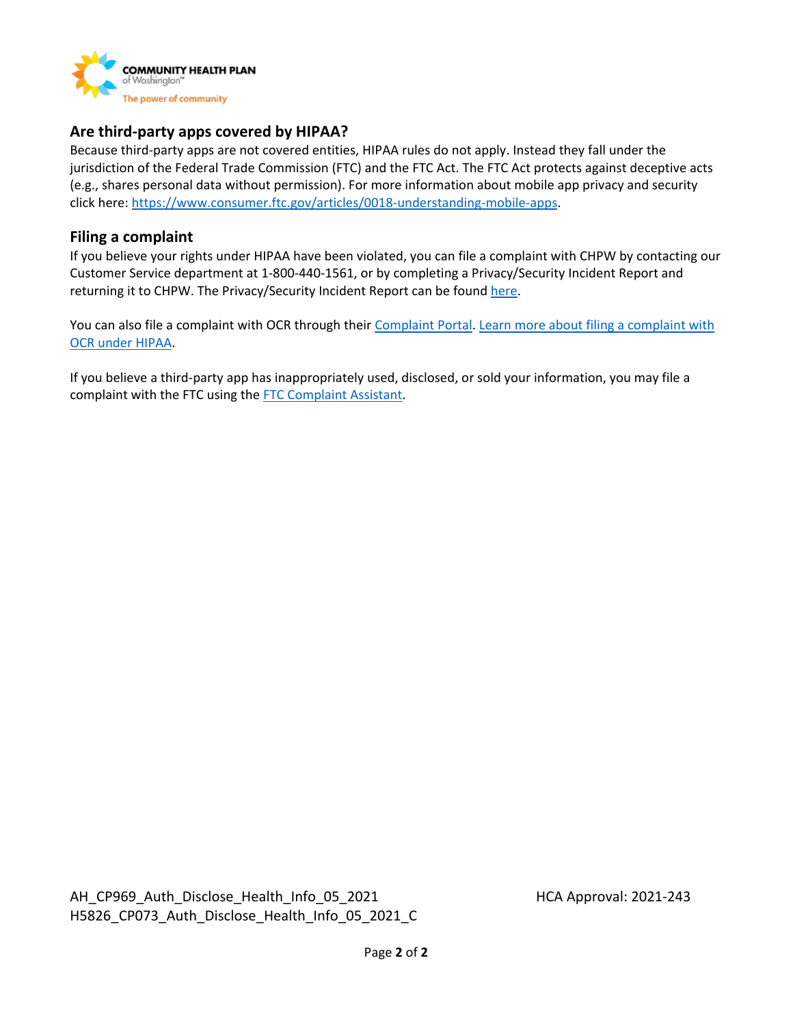

## **Are third-party apps covered by HIPAA?**

Because third-party apps are not covered entities, HIPAA rules do not apply. Instead they fall under the jurisdiction of the Federal Trade Commission (FTC) and the FTC Act. The FTC Act protects against deceptive acts (e.g., shares personal data without permission). For more information about mobile app privacy and security click here: [https://www.consumer.ftc.gov/articles/0018-understanding-mobile-apps.](https://www.consumer.ftc.gov/articles/0018-understanding-mobile-apps)

### **Filing a complaint**

If you believe your rights under HIPAA have been violated, you can file a complaint with CHPW by contacting our Customer Service department at 1-800-440-1561, or by completing a Privacy/Security Incident Report and returning it to CHPW. The Privacy/Security Incident Report can be found [here.](https://www.chpw.org/member-center/member-rights/)

You can also file a complaint with OCR through their [Complaint Portal.](https://ocrportal.hhs.gov/ocr/smartscreen/main.jsf) Learn more about filing a complaint with [OCR under HIPAA.](https://www.hhs.gov/hipaa/filing-a-complaint/index.html)

If you believe a third-party app has inappropriately used, disclosed, or sold your information, you may file a complaint with the FTC using the [FTC Complaint Assistant.](https://www.ftccomplaintassistant.gov/#crnt&panel1-1)

AH\_CP969\_Auth\_Disclose\_Health\_Info\_05\_2021 https://educationality.com/2021-243 H5826 CP073 Auth Disclose Health Info 05 2021 C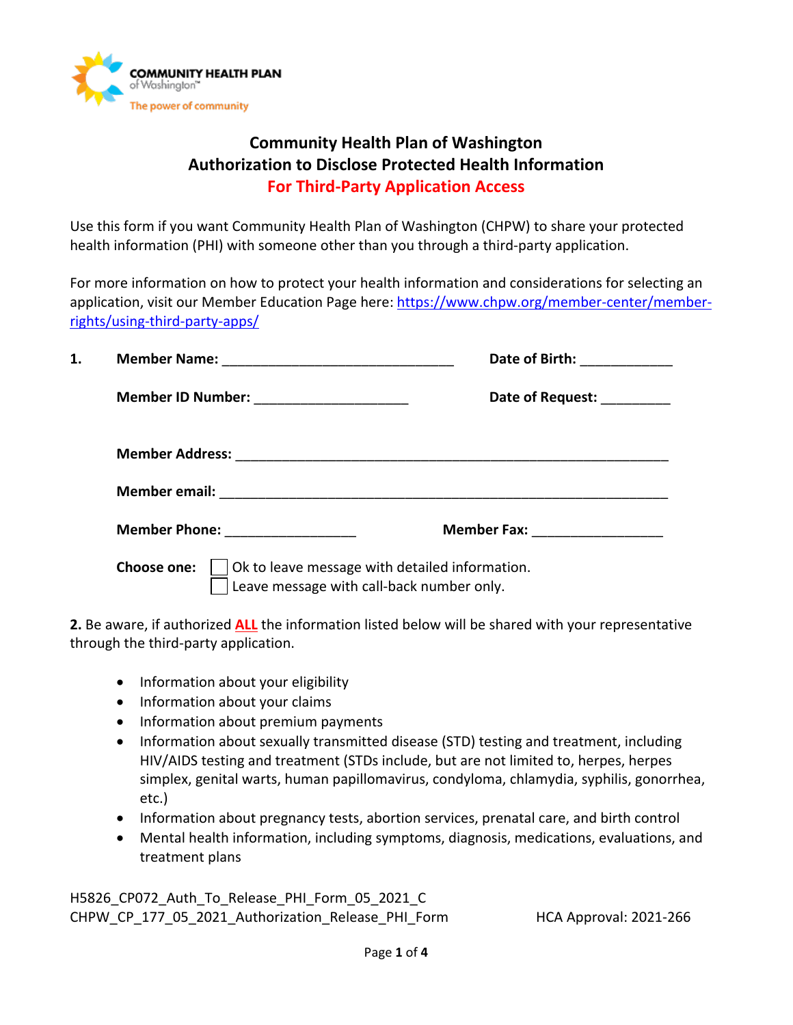

# **Community Health Plan of Washington Authorization to Disclose Protected Health Information For Third-Party Application Access**

Use this form if you want Community Health Plan of Washington (CHPW) to share your protected health information (PHI) with someone other than you through a third-party application.

For more information on how to protect your health information and considerations for selecting an application, visit our Member Education Page here: [https://www.chpw.org/member-center/member](https://www.chpw.org/member-center/member-rights/using-third-party-apps/)[rights/using-third-party-apps/](https://www.chpw.org/member-center/member-rights/using-third-party-apps/) 

| 1. |                                                                                                            | Date of Birth: ________    |  |
|----|------------------------------------------------------------------------------------------------------------|----------------------------|--|
|    |                                                                                                            | Date of Request: _________ |  |
|    |                                                                                                            |                            |  |
|    |                                                                                                            |                            |  |
|    | Member Phone: _____________                                                                                |                            |  |
|    | Ok to leave message with detailed information.<br>Choose one:<br>Leave message with call-back number only. |                            |  |

**2.** Be aware, if authorized **ALL** the information listed below will be shared with your representative through the third-party application.

- Information about your eligibility
- Information about your claims
- Information about premium payments
- Information about sexually transmitted disease (STD) testing and treatment, including HIV/AIDS testing and treatment (STDs include, but are not limited to, herpes, herpes simplex, genital warts, human papillomavirus, condyloma, chlamydia, syphilis, gonorrhea, etc.)
- Information about pregnancy tests, abortion services, prenatal care, and birth control
- Mental health information, including symptoms, diagnosis, medications, evaluations, and treatment plans

H5826 CP072 Auth To Release PHI Form 05 2021 C CHPW CP 177 05 2021 Authorization Release PHI Form HCA Approval: 2021-266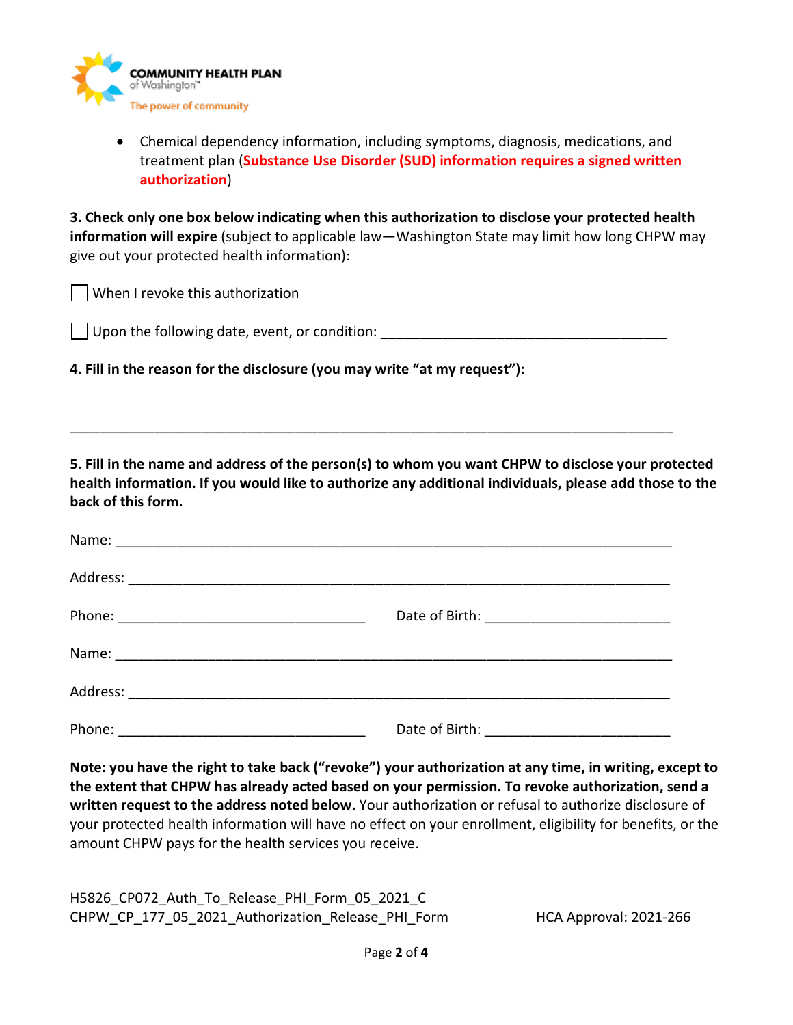

• Chemical dependency information, including symptoms, diagnosis, medications, and treatment plan (**Substance Use Disorder (SUD) information requires a signed written authorization**)

**3. Check only one box below indicating when this authorization to disclose your protected health information will expire** (subject to applicable law—Washington State may limit how long CHPW may give out your protected health information):

When I revoke this authorization

Upon the following date, event, or condition:

\_\_\_\_\_\_\_\_\_\_\_\_\_\_\_\_\_\_\_\_\_\_\_\_\_\_\_\_\_\_\_\_\_\_\_\_\_\_\_\_\_\_\_\_\_\_\_\_\_\_\_\_\_\_\_\_\_\_\_\_\_\_\_\_\_\_\_\_\_\_\_\_\_\_\_\_\_\_

**4. Fill in the reason for the disclosure (you may write "at my request"):**

**5. Fill in the name and address of the person(s) to whom you want CHPW to disclose your protected health information. If you would like to authorize any additional individuals, please add those to the back of this form.**

| Phone: |  |
|--------|--|

**Note: you have the right to take back ("revoke") your authorization at any time, in writing, except to the extent that CHPW has already acted based on your permission. To revoke authorization, send a written request to the address noted below.** Your authorization or refusal to authorize disclosure of your protected health information will have no effect on your enrollment, eligibility for benefits, or the amount CHPW pays for the health services you receive.

H5826 CP072 Auth To Release PHI Form 05 2021 C CHPW\_CP\_177\_05\_2021\_Authorization\_Release\_PHI\_Form \_\_\_\_\_\_\_\_\_\_HCA Approval: 2021-266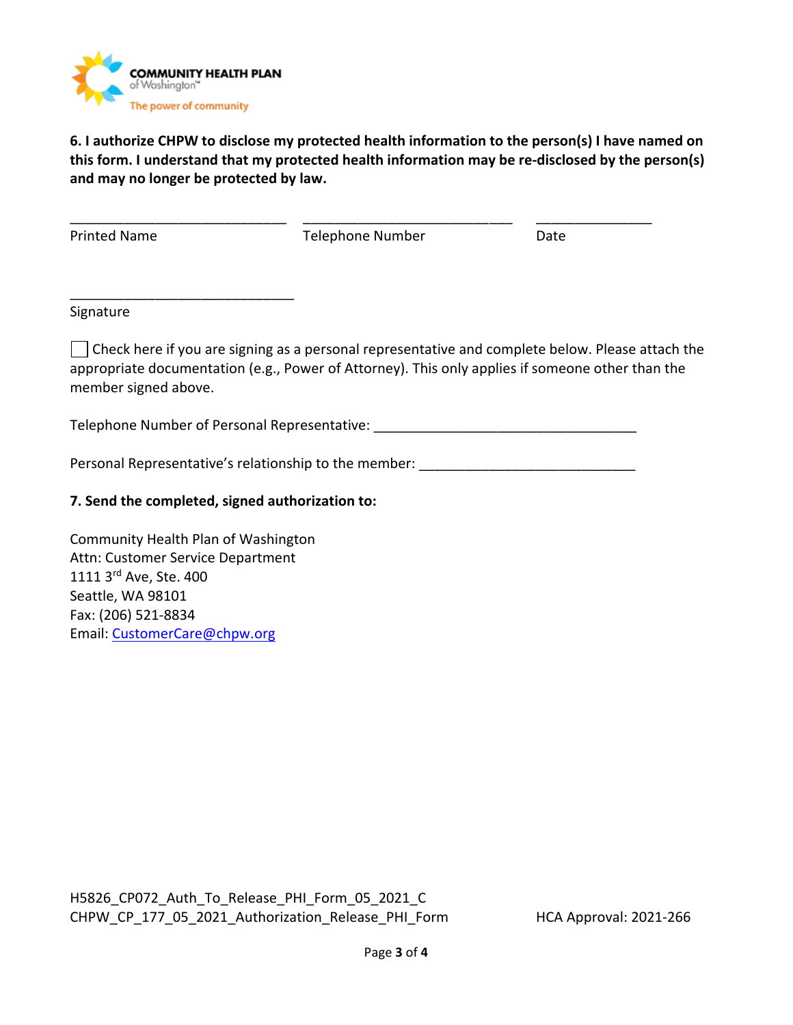

\_\_\_\_\_\_\_\_\_\_\_\_\_\_\_\_\_\_\_\_\_\_\_\_\_\_\_\_\_

**6. I authorize CHPW to disclose my protected health information to the person(s) I have named on this form. I understand that my protected health information may be re-disclosed by the person(s) and may no longer be protected by law.**

\_\_\_\_\_\_\_\_\_\_\_\_\_\_\_\_\_\_\_\_\_\_\_\_\_\_\_\_ \_\_\_\_\_\_\_\_\_\_\_\_\_\_\_\_\_\_\_\_\_\_\_\_\_\_\_ \_\_\_\_\_\_\_\_\_\_\_\_\_\_\_ Printed Name Telephone Number Date

#### Signature

Check here if you are signing as a personal representative and complete below. Please attach the appropriate documentation (e.g., Power of Attorney). This only applies if someone other than the member signed above.

Telephone Number of Personal Representative:

Personal Representative's relationship to the member:

## **7. Send the completed, signed authorization to:**

Community Health Plan of Washington Attn: Customer Service Department 1111 3rd Ave, Ste. 400 Seattle, WA 98101 Fax: (206) 521-8834 Email: [CustomerCare@chpw.org](mailto:CustomerCare@chpw.org)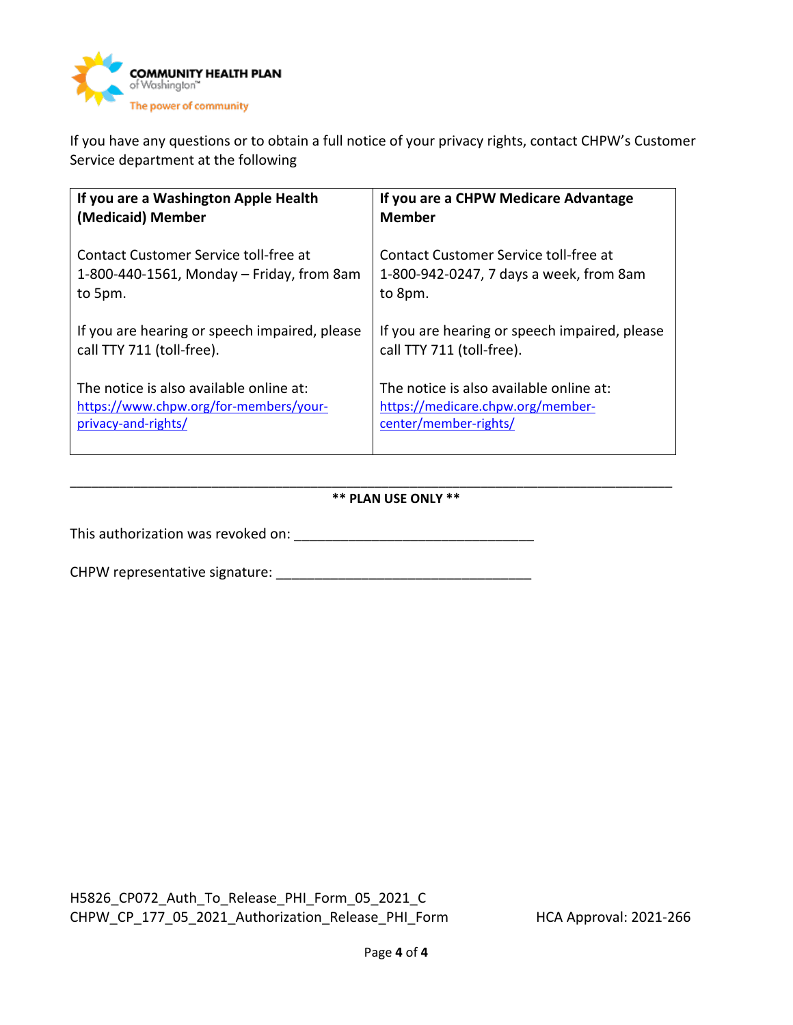

If you have any questions or to obtain a full notice of your privacy rights, contact CHPW's Customer Service department at the following

| If you are a Washington Apple Health          | If you are a CHPW Medicare Advantage          |
|-----------------------------------------------|-----------------------------------------------|
| (Medicaid) Member                             | <b>Member</b>                                 |
| Contact Customer Service toll-free at         | Contact Customer Service toll-free at         |
| 1-800-440-1561, Monday – Friday, from 8am     | 1-800-942-0247, 7 days a week, from 8am       |
| to 5pm.                                       | to 8pm.                                       |
| If you are hearing or speech impaired, please | If you are hearing or speech impaired, please |
| call TTY 711 (toll-free).                     | call TTY 711 (toll-free).                     |
| The notice is also available online at:       | The notice is also available online at:       |
| https://www.chpw.org/for-members/your-        | https://medicare.chpw.org/member-             |
| privacy-and-rights/                           | center/member-rights/                         |

#### \_\_\_\_\_\_\_\_\_\_\_\_\_\_\_\_\_\_\_\_\_\_\_\_\_\_\_\_\_\_\_\_\_\_\_\_\_\_\_\_\_\_\_\_\_\_\_\_\_\_\_\_\_\_\_\_\_\_\_\_\_\_\_\_\_\_\_\_\_\_\_\_\_\_\_\_\_\_\_\_\_\_\_\_\_ **\*\* PLAN USE ONLY \*\***

This authorization was revoked on: \_\_\_\_\_\_\_\_\_\_\_\_\_\_\_\_\_\_\_\_\_\_\_\_\_\_\_\_\_\_\_

CHPW representative signature: \_\_\_\_\_\_\_\_\_\_\_\_\_\_\_\_\_\_\_\_\_\_\_\_\_\_\_\_\_\_\_\_\_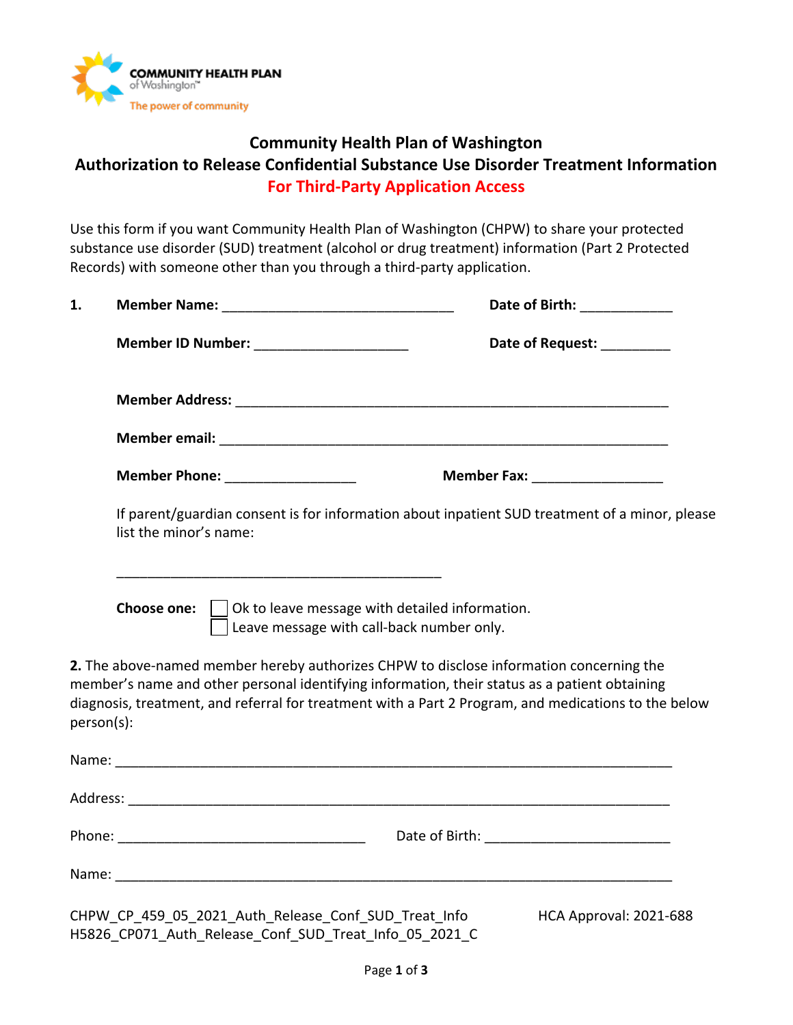

# **Community Health Plan of Washington Authorization to Release Confidential Substance Use Disorder Treatment Information For Third-Party Application Access**

Use this form if you want Community Health Plan of Washington (CHPW) to share your protected substance use disorder (SUD) treatment (alcohol or drug treatment) information (Part 2 Protected Records) with someone other than you through a third-party application.

| 1.         |                                                                                                                                | Date of Birth: ____________                                                                                                                                                                                                                                                                      |  |  |
|------------|--------------------------------------------------------------------------------------------------------------------------------|--------------------------------------------------------------------------------------------------------------------------------------------------------------------------------------------------------------------------------------------------------------------------------------------------|--|--|
|            | Member ID Number: ________________________                                                                                     | Date of Request: _________                                                                                                                                                                                                                                                                       |  |  |
|            |                                                                                                                                |                                                                                                                                                                                                                                                                                                  |  |  |
|            |                                                                                                                                |                                                                                                                                                                                                                                                                                                  |  |  |
|            | <b>Member Phone: ____________________</b>                                                                                      | <b>Member Fax:</b> ____________________                                                                                                                                                                                                                                                          |  |  |
|            | If parent/guardian consent is for information about inpatient SUD treatment of a minor, please<br>list the minor's name:       |                                                                                                                                                                                                                                                                                                  |  |  |
|            | <b>Choose one:</b> $\vert$ $\vert$ Ok to leave message with detailed information.<br>Leave message with call-back number only. |                                                                                                                                                                                                                                                                                                  |  |  |
| person(s): |                                                                                                                                | 2. The above-named member hereby authorizes CHPW to disclose information concerning the<br>member's name and other personal identifying information, their status as a patient obtaining<br>diagnosis, treatment, and referral for treatment with a Part 2 Program, and medications to the below |  |  |
|            |                                                                                                                                |                                                                                                                                                                                                                                                                                                  |  |  |
|            |                                                                                                                                |                                                                                                                                                                                                                                                                                                  |  |  |
|            |                                                                                                                                |                                                                                                                                                                                                                                                                                                  |  |  |
|            |                                                                                                                                |                                                                                                                                                                                                                                                                                                  |  |  |
|            | CHPW CP 459 05 2021 Auth Release Conf SUD Treat Info<br>H5826 CP071 Auth Release Conf SUD Treat Info 05 2021 C                 | HCA Approval: 2021-688                                                                                                                                                                                                                                                                           |  |  |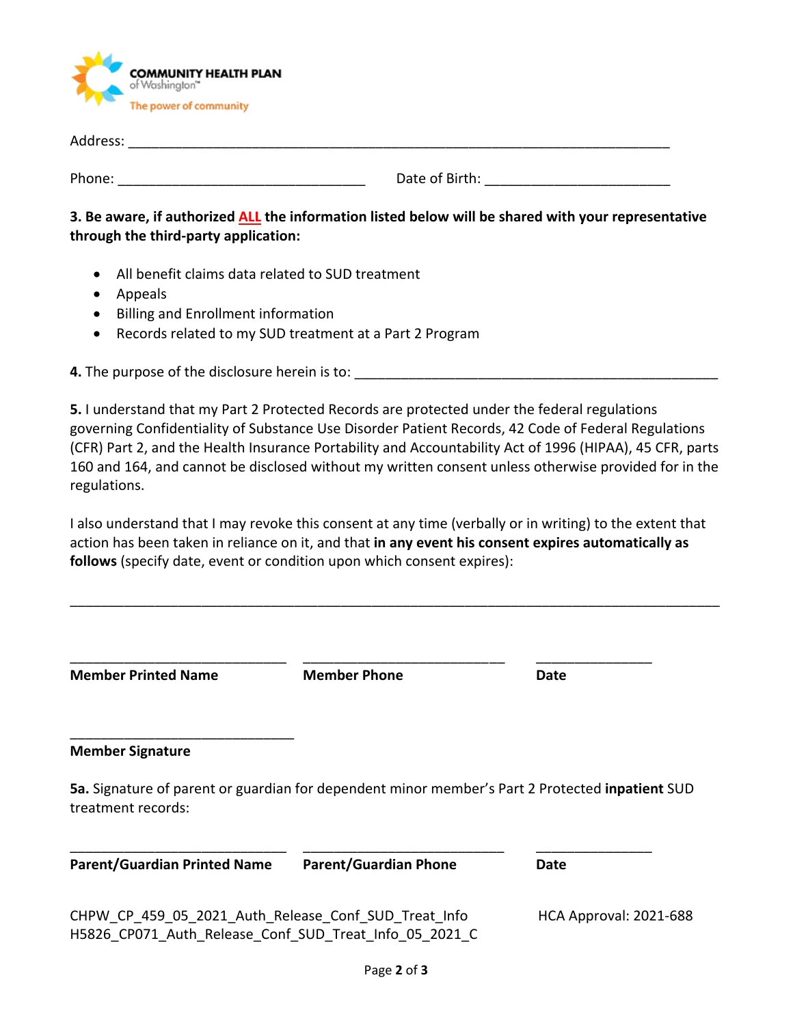

| Address: |                |  |
|----------|----------------|--|
|          |                |  |
| Phone:   | Date of Birth: |  |

**3. Be aware, if authorized ALL the information listed below will be shared with your representative through the third-party application:**

- All benefit claims data related to SUD treatment
- Appeals
- Billing and Enrollment information
- Records related to my SUD treatment at a Part 2 Program

**4.** The purpose of the disclosure herein is to:

**5.** I understand that my Part 2 Protected Records are protected under the federal regulations governing Confidentiality of Substance Use Disorder Patient Records, 42 Code of Federal Regulations (CFR) Part 2, and the Health Insurance Portability and Accountability Act of 1996 (HIPAA), 45 CFR, parts 160 and 164, and cannot be disclosed without my written consent unless otherwise provided for in the regulations.

I also understand that I may revoke this consent at any time (verbally or in writing) to the extent that action has been taken in reliance on it, and that **in any event his consent expires automatically as follows** (specify date, event or condition upon which consent expires):

| <b>Member Printed Name</b>                                                                                            | <b>Member Phone</b>          | Date                   |
|-----------------------------------------------------------------------------------------------------------------------|------------------------------|------------------------|
| <b>Member Signature</b>                                                                                               |                              |                        |
| 5a. Signature of parent or guardian for dependent minor member's Part 2 Protected inpatient SUD<br>treatment records: |                              |                        |
| <b>Parent/Guardian Printed Name</b>                                                                                   | <b>Parent/Guardian Phone</b> | Date                   |
| CHPW CP 459 05 2021 Auth Release Conf SUD Treat Info<br>H5826 CP071 Auth Release Conf SUD Treat Info 05 2021 C        |                              | HCA Approval: 2021-688 |